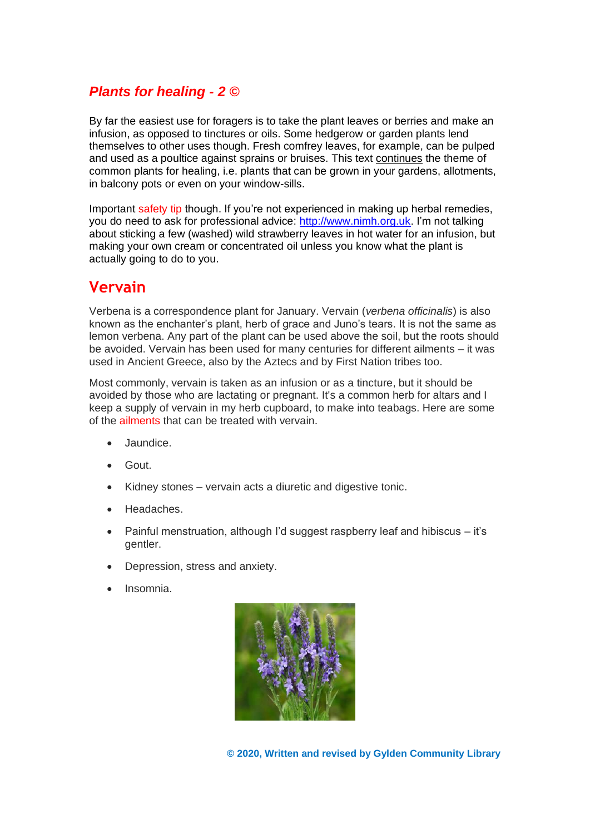#### *Plants for healing - 2 ©*

By far the easiest use for foragers is to take the plant leaves or berries and make an infusion, as opposed to tinctures or oils. Some hedgerow or garden plants lend themselves to other uses though. Fresh comfrey leaves, for example, can be pulped and used as a poultice against sprains or bruises. This text continues the theme of common plants for healing, i.e. plants that can be grown in your gardens, allotments, in balcony pots or even on your window-sills.

Important safety tip though. If you're not experienced in making up herbal remedies, you do need to ask for professional advice: [http://www.nimh.org.uk.](http://www.nimh.org.uk/) I'm not talking about sticking a few (washed) wild strawberry leaves in hot water for an infusion, but making your own cream or concentrated oil unless you know what the plant is actually going to do to you.

#### **Vervain**

Verbena is a correspondence plant for January. Vervain (*verbena officinalis*) is also known as the enchanter's plant, herb of grace and Juno's tears. It is not the same as lemon verbena. Any part of the plant can be used above the soil, but the roots should be avoided. Vervain has been used for many centuries for different ailments – it was used in Ancient Greece, also by the Aztecs and by First Nation tribes too.

Most commonly, vervain is taken as an infusion or as a tincture, but it should be avoided by those who are lactating or pregnant. It's a common herb for altars and I keep a supply of vervain in my herb cupboard, to make into teabags. Here are some of the ailments that can be treated with vervain.

- Jaundice.
- Gout.
- Kidney stones vervain acts a diuretic and digestive tonic.
- Headaches.
- Painful menstruation, although I'd suggest raspberry leaf and hibiscus it's gentler.
- Depression, stress and anxiety.
- Insomnia.

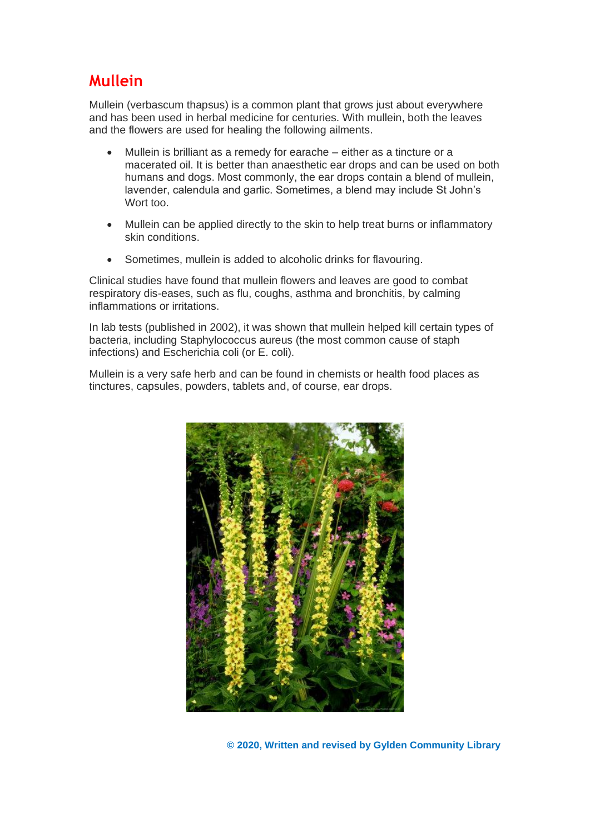## **Mullein**

Mullein (verbascum thapsus) is a common plant that grows just about everywhere and has been used in herbal medicine for centuries. With mullein, both the leaves and the flowers are used for healing the following ailments.

- Mullein is brilliant as a remedy for earache either as a tincture or a macerated oil. It is better than anaesthetic ear drops and can be used on both humans and dogs. Most commonly, the ear drops contain a blend of mullein, lavender, calendula and garlic. Sometimes, a blend may include St John's Wort too.
- Mullein can be applied directly to the skin to help treat burns or inflammatory skin conditions.
- Sometimes, mullein is added to alcoholic drinks for flavouring.

Clinical studies have found that mullein flowers and leaves are good to combat respiratory dis-eases, such as flu, coughs, asthma and bronchitis, by calming inflammations or irritations.

In lab tests (published in 2002), it was shown that mullein helped kill certain types of bacteria, including Staphylococcus aureus (the most common cause of staph infections) and Escherichia coli (or E. coli).

Mullein is a very safe herb and can be found in chemists or health food places as tinctures, capsules, powders, tablets and, of course, ear drops.

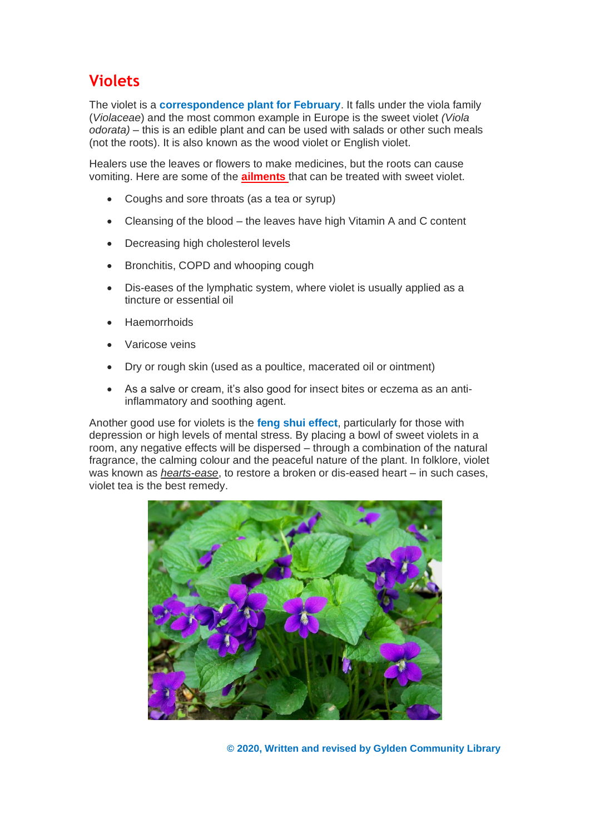## **Violets**

The violet is a **correspondence plant for February**. It falls under the viola family (*Violaceae*) and the most common example in Europe is the sweet violet *(Viola odorata)* – this is an edible plant and can be used with salads or other such meals (not the roots). It is also known as the wood violet or English violet.

Healers use the leaves or flowers to make medicines, but the roots can cause vomiting. Here are some of the **ailments** that can be treated with sweet violet.

- Coughs and sore throats (as a tea or syrup)
- Cleansing of the blood the leaves have high Vitamin A and C content
- Decreasing high cholesterol levels
- Bronchitis, COPD and whooping cough
- Dis-eases of the lymphatic system, where violet is usually applied as a tincture or essential oil
- Haemorrhoids
- Varicose veins
- Dry or rough skin (used as a poultice, macerated oil or ointment)
- As a salve or cream, it's also good for insect bites or eczema as an antiinflammatory and soothing agent.

Another good use for violets is the **feng shui effect**, particularly for those with depression or high levels of mental stress. By placing a bowl of sweet violets in a room, any negative effects will be dispersed – through a combination of the natural fragrance, the calming colour and the peaceful nature of the plant. In folklore, violet was known as *hearts-ease*, to restore a broken or dis-eased heart – in such cases, violet tea is the best remedy.

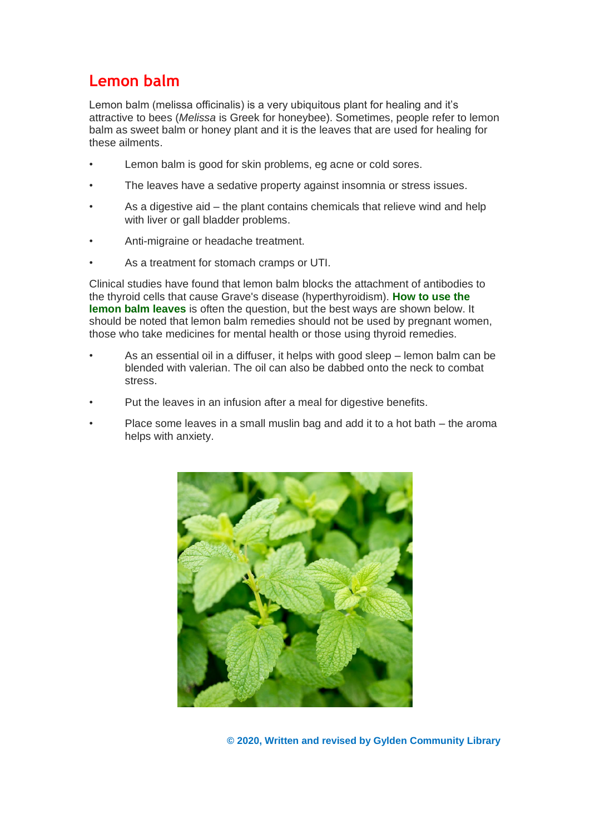## **Lemon balm**

Lemon balm (melissa officinalis) is a very ubiquitous plant for healing and it's attractive to bees (*Melissa* is Greek for honeybee). Sometimes, people refer to lemon balm as sweet balm or honey plant and it is the leaves that are used for healing for these ailments.

- Lemon balm is good for skin problems, eg acne or cold sores.
- The leaves have a sedative property against insomnia or stress issues.
- As a digestive aid the plant contains chemicals that relieve wind and help with liver or gall bladder problems.
- Anti-migraine or headache treatment.
- As a treatment for stomach cramps or UTI.

Clinical studies have found that lemon balm blocks the attachment of antibodies to the thyroid cells that cause Grave's disease (hyperthyroidism). **How to use the lemon balm leaves** is often the question, but the best ways are shown below. It should be noted that lemon balm remedies should not be used by pregnant women, those who take medicines for mental health or those using thyroid remedies.

- As an essential oil in a diffuser, it helps with good sleep lemon balm can be blended with valerian. The oil can also be dabbed onto the neck to combat stress.
- Put the leaves in an infusion after a meal for digestive benefits.
- Place some leaves in a small muslin bag and add it to a hot bath the aroma helps with anxiety.

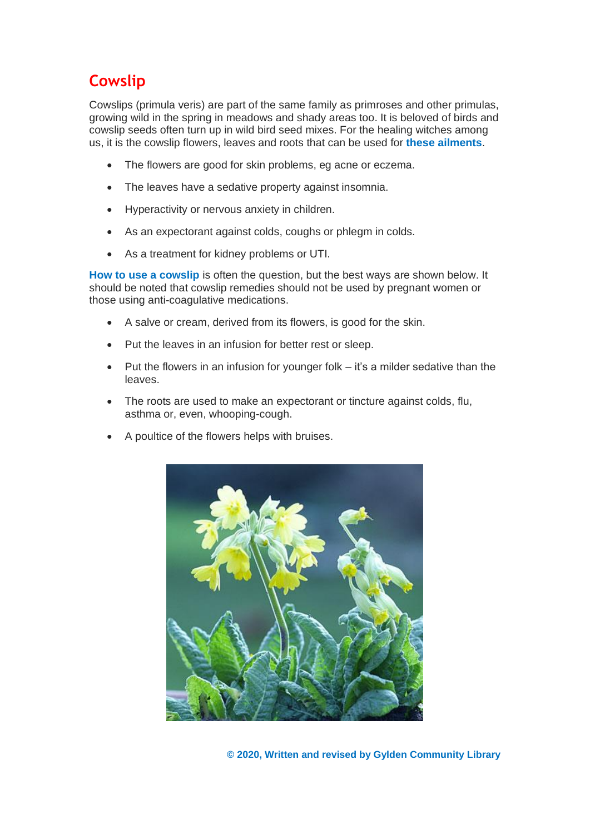# **Cowslip**

Cowslips (primula veris) are part of the same family as primroses and other primulas, growing wild in the spring in meadows and shady areas too. It is beloved of birds and cowslip seeds often turn up in wild bird seed mixes. For the healing witches among us, it is the cowslip flowers, leaves and roots that can be used for **these ailments**.

- The flowers are good for skin problems, eg acne or eczema.
- The leaves have a sedative property against insomnia.
- Hyperactivity or nervous anxiety in children.
- As an expectorant against colds, coughs or phlegm in colds.
- As a treatment for kidney problems or UTI.

**How to use a cowslip** is often the question, but the best ways are shown below. It should be noted that cowslip remedies should not be used by pregnant women or those using anti-coagulative medications.

- A salve or cream, derived from its flowers, is good for the skin.
- Put the leaves in an infusion for better rest or sleep.
- Put the flowers in an infusion for younger folk  $-$  it's a milder sedative than the leaves.
- The roots are used to make an expectorant or tincture against colds, flu, asthma or, even, whooping-cough.
- A poultice of the flowers helps with bruises.

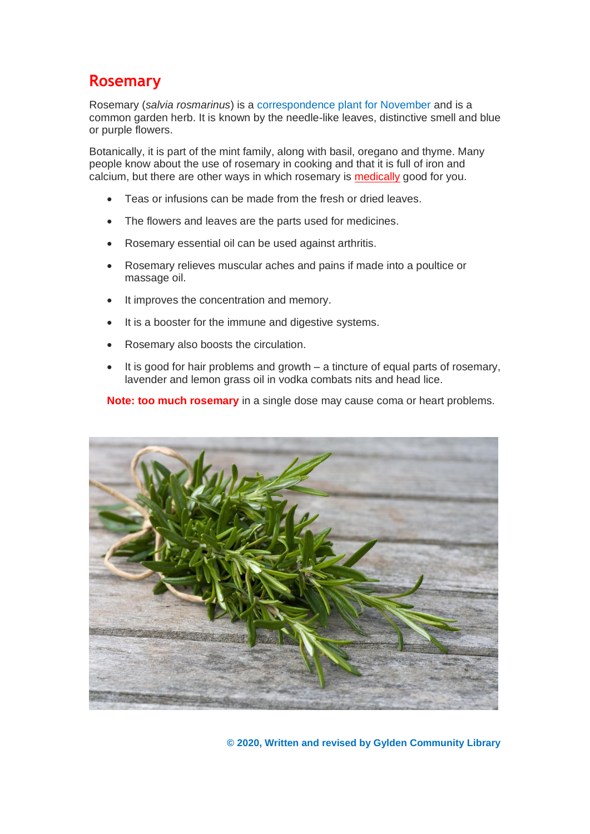#### **Rosemary**

Rosemary (*salvia rosmarinus*) is a correspondence plant for November and is a common garden herb. It is known by the needle-like leaves, distinctive smell and blue or purple flowers.

Botanically, it is part of the mint family, along with basil, oregano and thyme. Many people know about the use of rosemary in cooking and that it is full of iron and calcium, but there are other ways in which rosemary is medically good for you.

- Teas or infusions can be made from the fresh or dried leaves.
- The flowers and leaves are the parts used for medicines.
- Rosemary essential oil can be used against arthritis.
- Rosemary relieves muscular aches and pains if made into a poultice or massage oil.
- It improves the concentration and memory.
- It is a booster for the immune and digestive systems.
- Rosemary also boosts the circulation.
- It is good for hair problems and growth  $-$  a tincture of equal parts of rosemary, lavender and lemon grass oil in vodka combats nits and head lice.

**Note: too much rosemary** in a single dose may cause coma or heart problems.

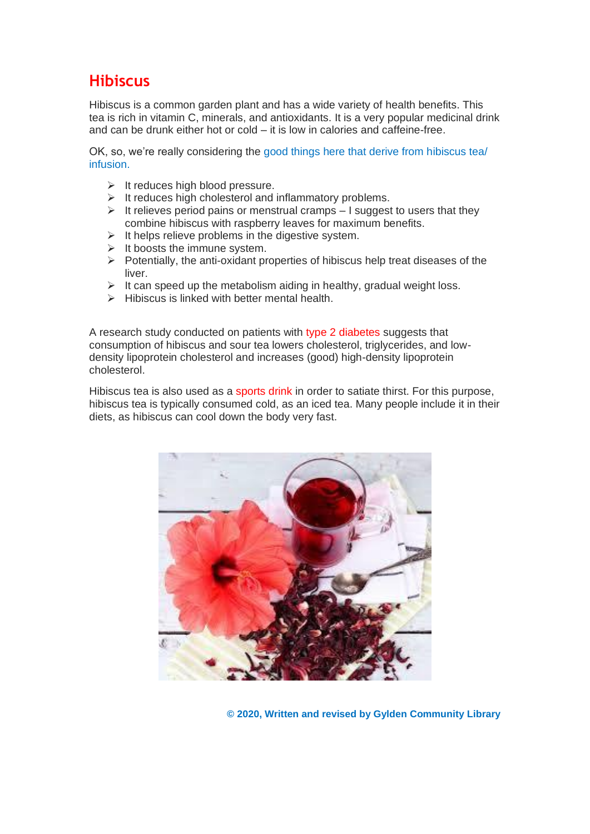#### **Hibiscus**

Hibiscus is a common garden plant and has a wide variety of health benefits. This tea is rich in vitamin C, minerals, and antioxidants. It is a very popular medicinal drink and can be drunk either hot or cold – it is low in calories and caffeine-free.

OK, so, we're really considering the good things here that derive from hibiscus tea/ infusion.

- $\triangleright$  It reduces high blood pressure.
- ➢ It reduces high cholesterol and inflammatory problems.
- $\triangleright$  It relieves period pains or menstrual cramps I suggest to users that they combine hibiscus with raspberry leaves for maximum benefits.
- ➢ It helps relieve problems in the digestive system.
- $\triangleright$  It boosts the immune system.
- ➢ Potentially, the anti-oxidant properties of hibiscus help treat diseases of the liver.
- $\triangleright$  It can speed up the metabolism aiding in healthy, gradual weight loss.
- $\triangleright$  Hibiscus is linked with better mental health.

A research study conducted on patients with type 2 diabetes suggests that consumption of hibiscus and sour tea lowers cholesterol, triglycerides, and lowdensity lipoprotein cholesterol and increases (good) high-density lipoprotein cholesterol.

Hibiscus tea is also used as a sports drink in order to satiate thirst. For this purpose, hibiscus tea is typically consumed cold, as an iced tea. Many people include it in their diets, as hibiscus can cool down the body very fast.



**© 2020, Written and revised by Gylden Community Library**